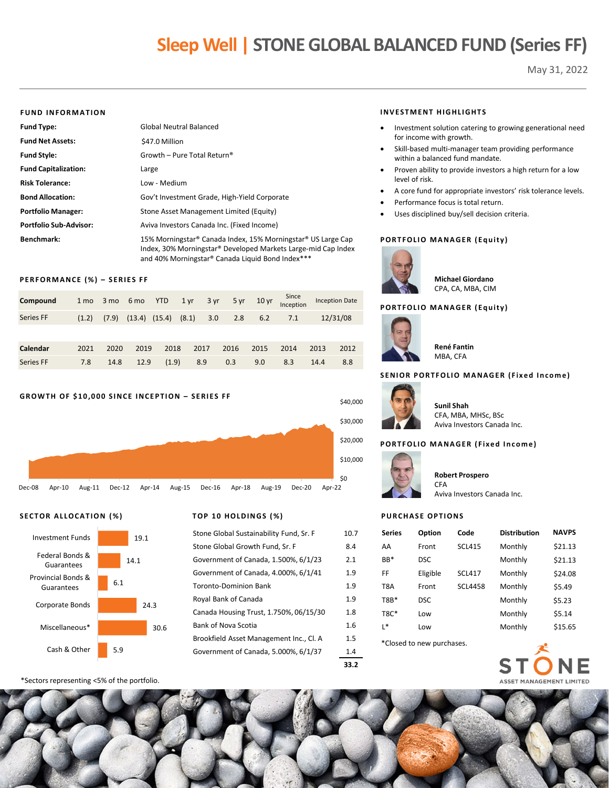# **Sleep Well | STONE GLOBAL BALANCED FUND (Series FF)**

May 31, 2022

#### **FUND INFORMATION**

| <b>Fund Type:</b>             | <b>Global Neutral Balanced</b>                                                                                                                                                    |
|-------------------------------|-----------------------------------------------------------------------------------------------------------------------------------------------------------------------------------|
| <b>Fund Net Assets:</b>       | \$47.0 Million                                                                                                                                                                    |
| <b>Fund Style:</b>            | Growth - Pure Total Return <sup>®</sup>                                                                                                                                           |
| <b>Fund Capitalization:</b>   | Large                                                                                                                                                                             |
| <b>Risk Tolerance:</b>        | Low - Medium                                                                                                                                                                      |
| <b>Bond Allocation:</b>       | Gov't Investment Grade, High-Yield Corporate                                                                                                                                      |
| <b>Portfolio Manager:</b>     | Stone Asset Management Limited (Equity)                                                                                                                                           |
| <b>Portfolio Sub-Advisor:</b> | Aviva Investors Canada Inc. (Fixed Income)                                                                                                                                        |
| Benchmark:                    | 15% Morningstar® Canada Index, 15% Morningstar® US Large Cap<br>Index, 30% Morningstar® Developed Markets Large-mid Cap Index<br>and 40% Morningstar® Canada Liquid Bond Index*** |

#### **PERFORMANCE (%) – SERIES FF**

| Compound  | 1 <sub>mo</sub> |       | 3 mo 6 mo | <b>YTD</b>        | $1 \,\mathrm{yr}$ | 3 yr |      | 5 yr 10 yr | Since<br>Inception |      | <b>Inception Date</b> |
|-----------|-----------------|-------|-----------|-------------------|-------------------|------|------|------------|--------------------|------|-----------------------|
| Series FF | (1.2)           | (7.9) |           | $(13.4)$ $(15.4)$ | (8.1)             | 3.0  | 2.8  | 6.2        | 7.1                |      | 12/31/08              |
|           |                 |       |           |                   |                   |      |      |            |                    |      |                       |
| Calendar  | 2021            | 2020  | 2019      | 2018              |                   | 2017 | 2016 | 2015       | 2014               | 2013 | 2012                  |
| Series FF | 7.8             | 14.8  | 12.9      | (1.9)             |                   | 8.9  | 0.3  | 9.0        | 8.3                | 14.4 | 8.8                   |

#### **GROWTH OF \$10,000 SINCE INCEPTION – SERIES FF**



#### **SECTOR ALLOCATION (%) TOP 10 HOLDINGS (%)**



| Stone Global Sustainability Fund, Sr. F | 10.7 |
|-----------------------------------------|------|
| Stone Global Growth Fund, Sr. F         | 8.4  |
| Government of Canada, 1.500%, 6/1/23    | 2.1  |
| Government of Canada, 4.000%, 6/1/41    | 1.9  |
| <b>Toronto-Dominion Bank</b>            | 1.9  |
| Royal Bank of Canada                    | 1.9  |
| Canada Housing Trust, 1.750%, 06/15/30  | 1.8  |
| Bank of Nova Scotia                     | 1.6  |
| Brookfield Asset Management Inc., Cl. A | 1.5  |
| Government of Canada, 5.000%, 6/1/37    | 1.4  |
|                                         |      |

\*Sectors representing <5% of the portfolio.

#### **INVESTMENT HIGHLIGHTS**

- Investment solution catering to growing generational need for income with growth.
- Skill-based multi-manager team providing performance within a balanced fund mandate.
- Proven ability to provide investors a high return for a low level of risk.
- A core fund for appropriate investors' risk tolerance levels.
- Performance focus is total return.
- Uses disciplined buy/sell decision criteria.

#### **PORTFOLIO MANAGER (Equity)**



**Michael Giordano** CPA, CA, MBA, CIM

#### **PORTFOLIO MANAGER (Equity)**



**René Fantin** MBA, CFA

#### **SENIOR PORTFOLIO MANAGER (Fixed Income)**



\$40,000

**Sunil Shah** CFA, MBA, MHSc, BSc Aviva Investors Canada Inc.

#### **PORTFOLIO MANAGER (Fixed Income)**



## **Robert Prospero** CFA

Aviva Investors Canada Inc.

#### **PURCHASE OPTIONS**

| <b>Series</b>             | <b>Option</b> | Code            | <b>Distribution</b> | <b>NAVPS</b> |
|---------------------------|---------------|-----------------|---------------------|--------------|
| AA                        | Front         | <b>SCL415</b>   | Monthly             | \$21.13      |
| RR*                       | <b>DSC</b>    |                 | Monthly             | \$21.13      |
| FF                        | Eligible      | SCI 417         | Monthly             | \$24.08      |
| T8A                       | Front         | <b>SCI 4458</b> | Monthly             | \$5.49       |
| T <sub>8</sub> R*         | <b>DSC</b>    |                 | Monthly             | \$5.23       |
| $T8C*$                    | l ow          |                 | Monthly             | \$5.14       |
| * ا                       | Low           |                 | Monthly             | \$15.65      |
| *Closed to new purchases. |               |                 |                     |              |



**33.2**